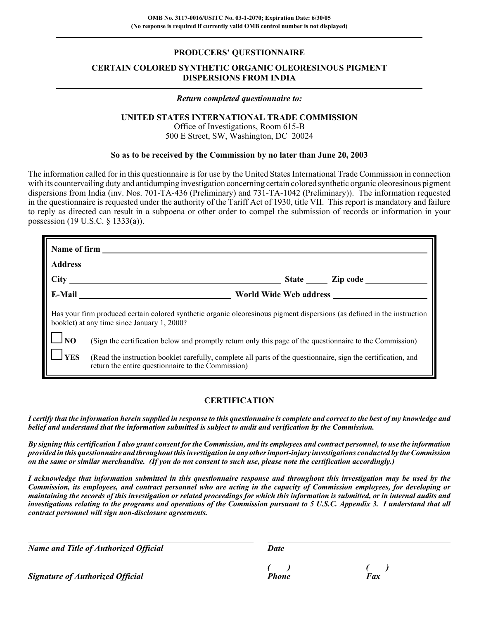## **PRODUCERS' QUESTIONNAIRE**

# **CERTAIN COLORED SYNTHETIC ORGANIC OLEORESINOUS PIGMENT DISPERSIONS FROM INDIA**

## *Return completed questionnaire to:*

## **UNITED STATES INTERNATIONAL TRADE COMMISSION**

Office of Investigations, Room 615-B 500 E Street, SW, Washington, DC 20024

## **So as to be received by the Commission by no later than June 20, 2003**

The information called for in this questionnaire is for use by the United States International Trade Commission in connection with its countervailing duty and antidumping investigation concerning certain colored synthetic organic oleoresinous pigment dispersions from India (inv. Nos. 701-TA-436 (Preliminary) and 731-TA-1042 (Preliminary)). The information requested in the questionnaire is requested under the authority of the Tariff Act of 1930, title VII. This report is mandatory and failure to reply as directed can result in a subpoena or other order to compel the submission of records or information in your possession (19 U.S.C. § 1333(a)).

|                                                                                                                                                                         | World Wide Web address                                                                                                                                              |  |  |  |  |  |
|-------------------------------------------------------------------------------------------------------------------------------------------------------------------------|---------------------------------------------------------------------------------------------------------------------------------------------------------------------|--|--|--|--|--|
| Has your firm produced certain colored synthetic organic oleoresinous pigment dispersions (as defined in the instruction<br>booklet) at any time since January 1, 2000? |                                                                                                                                                                     |  |  |  |  |  |
| $\Box$ NO                                                                                                                                                               | (Sign the certification below and promptly return only this page of the questionnaire to the Commission)                                                            |  |  |  |  |  |
| $ _{\text{YES}}$                                                                                                                                                        | (Read the instruction booklet carefully, complete all parts of the questionnaire, sign the certification, and<br>return the entire questionnaire to the Commission) |  |  |  |  |  |

# **CERTIFICATION**

*I certify that the information herein supplied in response to this questionnaire is complete and correct to the best of my knowledge and belief and understand that the information submitted is subject to audit and verification by the Commission.*

*By signing this certification I also grant consent for the Commission, and its employees and contract personnel, to use the information provided in this questionnaire and throughout this investigation in any other import-injury investigations conducted by the Commission on the same or similar merchandise. (If you do not consent to such use, please note the certification accordingly.)*

*I acknowledge that information submitted in this questionnaire response and throughout this investigation may be used by the Commission, its employees, and contract personnel who are acting in the capacity of Commission employees, for developing or maintaining the records of this investigation or related proceedings for which this information is submitted, or in internal audits and investigations relating to the programs and operations of the Commission pursuant to 5 U.S.C. Appendix 3. I understand that all contract personnel will sign non-disclosure agreements.*

*Name and Title of Authorized Official* Date Date

**Signature of Authorized Official** 

*( ) ( )*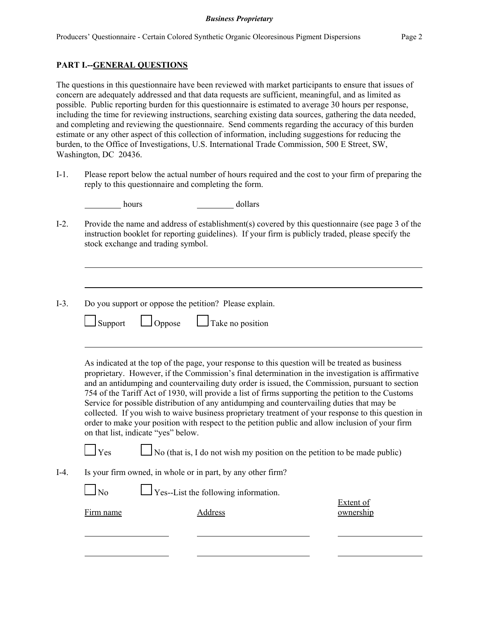hours dollars dollars

# **PART I.--GENERAL QUESTIONS**

The questions in this questionnaire have been reviewed with market participants to ensure that issues of concern are adequately addressed and that data requests are sufficient, meaningful, and as limited as possible. Public reporting burden for this questionnaire is estimated to average 30 hours per response, including the time for reviewing instructions, searching existing data sources, gathering the data needed, and completing and reviewing the questionnaire. Send comments regarding the accuracy of this burden estimate or any other aspect of this collection of information, including suggestions for reducing the burden, to the Office of Investigations, U.S. International Trade Commission, 500 E Street, SW, Washington, DC 20436.

I-1. Please report below the actual number of hours required and the cost to your firm of preparing the reply to this questionnaire and completing the form.

I-2. Provide the name and address of establishment(s) covered by this questionnaire (see page 3 of the

|                | Do you support or oppose the petition? Please explain.                                                                                                                                                                                                                                                                                                                                                        |                  |
|----------------|---------------------------------------------------------------------------------------------------------------------------------------------------------------------------------------------------------------------------------------------------------------------------------------------------------------------------------------------------------------------------------------------------------------|------------------|
| Support        | $\Box$ Oppose<br>$\Box$ Take no position                                                                                                                                                                                                                                                                                                                                                                      |                  |
|                | As indicated at the top of the page, your response to this question will be treated as business<br>proprietary. However, if the Commission's final determination in the investigation is affirmative<br>and an antidumping and countervailing duty order is issued, the Commission, pursuant to section<br>754 of the Tariff Act of 1930, will provide a list of firms supporting the petition to the Customs |                  |
|                | Service for possible distribution of any antidumping and countervailing duties that may be<br>collected. If you wish to waive business proprietary treatment of your response to this question in<br>order to make your position with respect to the petition public and allow inclusion of your firm<br>on that list, indicate "yes" below.                                                                  |                  |
| $\Box$ Yes     | No (that is, I do not wish my position on the petition to be made public)                                                                                                                                                                                                                                                                                                                                     |                  |
|                | Is your firm owned, in whole or in part, by any other firm?                                                                                                                                                                                                                                                                                                                                                   |                  |
| N <sub>o</sub> | $\Gamma$ Yes--List the following information.                                                                                                                                                                                                                                                                                                                                                                 | <b>Extent of</b> |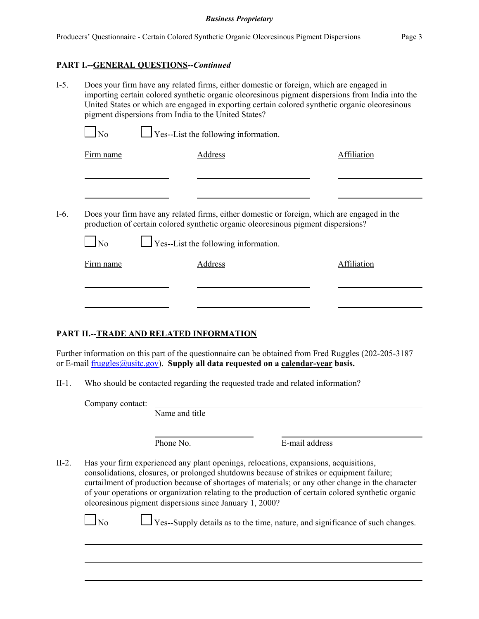## **PART I.--GENERAL QUESTIONS--***Continued*

| $I-5$ . | Does your firm have any related firms, either domestic or foreign, which are engaged in<br>importing certain colored synthetic organic oleoresinous pigment dispersions from India into the<br>United States or which are engaged in exporting certain colored synthetic organic oleoresinous<br>pigment dispersions from India to the United States? |                                             |                |                                                                                                                                                                                  |             |  |  |  |  |
|---------|-------------------------------------------------------------------------------------------------------------------------------------------------------------------------------------------------------------------------------------------------------------------------------------------------------------------------------------------------------|---------------------------------------------|----------------|----------------------------------------------------------------------------------------------------------------------------------------------------------------------------------|-------------|--|--|--|--|
|         | No                                                                                                                                                                                                                                                                                                                                                    | $\Box$ Yes--List the following information. |                |                                                                                                                                                                                  |             |  |  |  |  |
|         | Firm name                                                                                                                                                                                                                                                                                                                                             |                                             | <b>Address</b> |                                                                                                                                                                                  | Affiliation |  |  |  |  |
|         |                                                                                                                                                                                                                                                                                                                                                       |                                             |                |                                                                                                                                                                                  |             |  |  |  |  |
|         |                                                                                                                                                                                                                                                                                                                                                       |                                             |                |                                                                                                                                                                                  |             |  |  |  |  |
| $I-6.$  |                                                                                                                                                                                                                                                                                                                                                       |                                             |                | Does your firm have any related firms, either domestic or foreign, which are engaged in the<br>production of certain colored synthetic organic oleoresinous pigment dispersions? |             |  |  |  |  |
|         | $\Box$ No                                                                                                                                                                                                                                                                                                                                             | $\Box$ Yes--List the following information. |                |                                                                                                                                                                                  |             |  |  |  |  |
|         | Firm name                                                                                                                                                                                                                                                                                                                                             |                                             | Address        |                                                                                                                                                                                  | Affiliation |  |  |  |  |
|         |                                                                                                                                                                                                                                                                                                                                                       |                                             |                |                                                                                                                                                                                  |             |  |  |  |  |
|         |                                                                                                                                                                                                                                                                                                                                                       |                                             |                |                                                                                                                                                                                  |             |  |  |  |  |
|         |                                                                                                                                                                                                                                                                                                                                                       |                                             |                |                                                                                                                                                                                  |             |  |  |  |  |

# **PART II.--TRADE AND RELATED INFORMATION**

Further information on this part of the questionnaire can be obtained from Fred Ruggles (202-205-3187 or E-mail fruggles@usitc.gov). **Supply all data requested on a calendar-year basis.**

II-1. Who should be contacted regarding the requested trade and related information?

Company contact: Name and title

Phone No. **E-mail address** 

II-2. Has your firm experienced any plant openings, relocations, expansions, acquisitions, consolidations, closures, or prolonged shutdowns because of strikes or equipment failure; curtailment of production because of shortages of materials; or any other change in the character of your operations or organization relating to the production of certain colored synthetic organic oleoresinous pigment dispersions since January 1, 2000?

 $\Box$  No  $\Box$  Yes--Supply details as to the time, nature, and significance of such changes.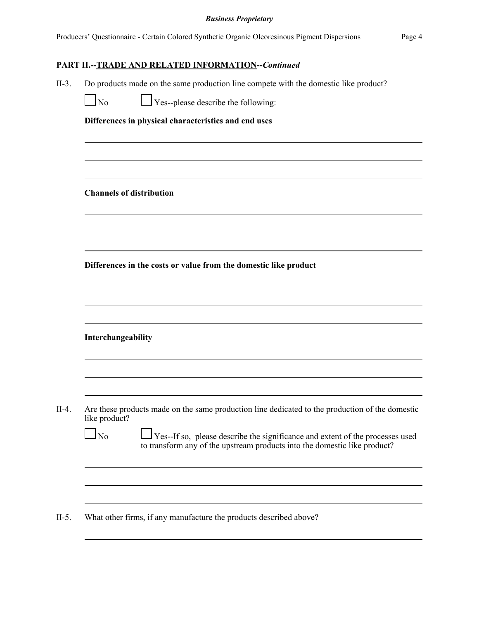# **PART II.--TRADE AND RELATED INFORMATION--***Continued*

- II-3. Do products made on the same production line compete with the domestic like product?
	- $\Box$  No  $\Box$  Yes--please describe the following:

**Differences in physical characteristics and end uses**

**Channels of distribution**

**Differences in the costs or value from the domestic like product**

**Interchangeability**

 $\blacksquare$  $\overline{\phantom{a}}$ 

II-4. Are these products made on the same production line dedicated to the production of the domestic like product?

| N <sub>o</sub> | $\Box$ Yes--If so, please describe the significance and extent of the processes used |
|----------------|--------------------------------------------------------------------------------------|
|                | to transform any of the upstream products into the domestic like product?            |

II-5. What other firms, if any manufacture the products described above?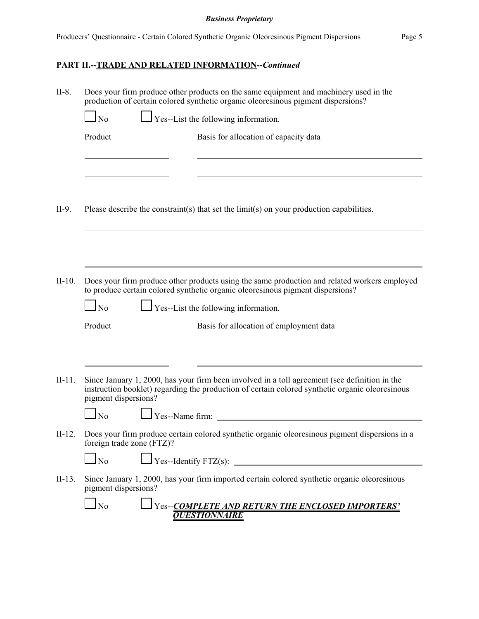# **PART II.--TRADE AND RELATED INFORMATION--***Continued*

| $II-8.$  | Does your firm produce other products on the same equipment and machinery used in the<br>production of certain colored synthetic organic oleoresinous pigment dispersions? |                 |                                                                                                                                                                                                  |  |  |  |
|----------|----------------------------------------------------------------------------------------------------------------------------------------------------------------------------|-----------------|--------------------------------------------------------------------------------------------------------------------------------------------------------------------------------------------------|--|--|--|
|          | $\overline{\rm No}$                                                                                                                                                        |                 | $\perp$ Yes--List the following information.                                                                                                                                                     |  |  |  |
|          | Product                                                                                                                                                                    |                 | Basis for allocation of capacity data                                                                                                                                                            |  |  |  |
|          |                                                                                                                                                                            |                 |                                                                                                                                                                                                  |  |  |  |
|          |                                                                                                                                                                            |                 |                                                                                                                                                                                                  |  |  |  |
|          |                                                                                                                                                                            |                 |                                                                                                                                                                                                  |  |  |  |
| $II-9.$  |                                                                                                                                                                            |                 | Please describe the constraint(s) that set the limit(s) on your production capabilities.                                                                                                         |  |  |  |
|          |                                                                                                                                                                            |                 |                                                                                                                                                                                                  |  |  |  |
|          |                                                                                                                                                                            |                 |                                                                                                                                                                                                  |  |  |  |
| $II-10.$ |                                                                                                                                                                            |                 | Does your firm produce other products using the same production and related workers employed<br>to produce certain colored synthetic organic oleoresinous pigment dispersions?                   |  |  |  |
|          | $\log$                                                                                                                                                                     |                 | $\Box$ Yes--List the following information.                                                                                                                                                      |  |  |  |
|          | Product                                                                                                                                                                    |                 | Basis for allocation of employment data                                                                                                                                                          |  |  |  |
|          |                                                                                                                                                                            |                 |                                                                                                                                                                                                  |  |  |  |
|          |                                                                                                                                                                            |                 |                                                                                                                                                                                                  |  |  |  |
| $II-11.$ | pigment dispersions?                                                                                                                                                       |                 | Since January 1, 2000, has your firm been involved in a toll agreement (see definition in the<br>instruction booklet) regarding the production of certain colored synthetic organic oleoresinous |  |  |  |
|          | $\overline{\rm No}$                                                                                                                                                        | Yes--Name firm: | <u> 1980 - Jan Stein Stein Stein Stein Stein Stein Stein Stein Stein Stein Stein Stein Stein Stein Stein Stein S</u>                                                                             |  |  |  |
| $II-12.$ | foreign trade zone (FTZ)?                                                                                                                                                  |                 | Does your firm produce certain colored synthetic organic oleoresinous pigment dispersions in a                                                                                                   |  |  |  |
|          | N <sub>0</sub>                                                                                                                                                             |                 | $\bigvee$ Yes--Identify FTZ(s):                                                                                                                                                                  |  |  |  |
| $II-13.$ | pigment dispersions?                                                                                                                                                       |                 | Since January 1, 2000, has your firm imported certain colored synthetic organic oleoresinous                                                                                                     |  |  |  |
|          | N <sub>o</sub>                                                                                                                                                             |                 | Yes-- <i>COMPLETE AND RETURN THE ENCLOSED IMPORTERS'</i><br><b><i>OUESTIONNAIRE</i></b>                                                                                                          |  |  |  |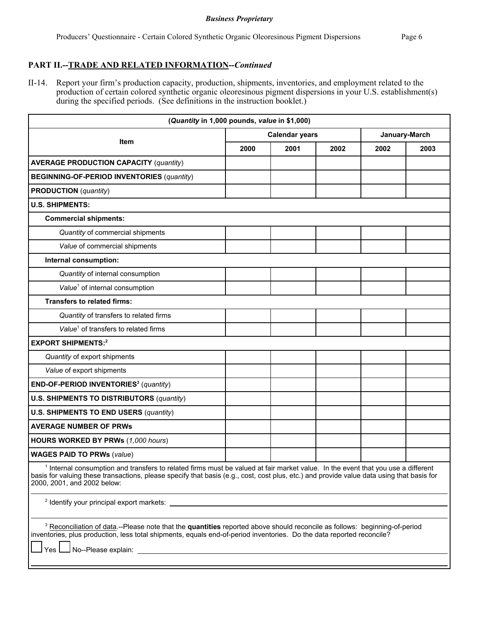# **PART II.--TRADE AND RELATED INFORMATION--***Continued*

II-14. Report your firm's production capacity, production, shipments, inventories, and employment related to the production of certain colored synthetic organic oleoresinous pigment dispersions in your U.S. establishment(s) during the specified periods. (See definitions in the instruction booklet.)

| (Quantity in 1,000 pounds, value in \$1,000)                                                                                                                                                                                                                                                                            |      |                       |               |      |      |  |
|-------------------------------------------------------------------------------------------------------------------------------------------------------------------------------------------------------------------------------------------------------------------------------------------------------------------------|------|-----------------------|---------------|------|------|--|
|                                                                                                                                                                                                                                                                                                                         |      | <b>Calendar years</b> | January-March |      |      |  |
| Item                                                                                                                                                                                                                                                                                                                    | 2000 | 2001                  | 2002          | 2002 | 2003 |  |
| <b>AVERAGE PRODUCTION CAPACITY (quantity)</b>                                                                                                                                                                                                                                                                           |      |                       |               |      |      |  |
| <b>BEGINNING-OF-PERIOD INVENTORIES (quantity)</b>                                                                                                                                                                                                                                                                       |      |                       |               |      |      |  |
| <b>PRODUCTION</b> (quantity)                                                                                                                                                                                                                                                                                            |      |                       |               |      |      |  |
| <b>U.S. SHIPMENTS:</b>                                                                                                                                                                                                                                                                                                  |      |                       |               |      |      |  |
| <b>Commercial shipments:</b>                                                                                                                                                                                                                                                                                            |      |                       |               |      |      |  |
| Quantity of commercial shipments                                                                                                                                                                                                                                                                                        |      |                       |               |      |      |  |
| Value of commercial shipments                                                                                                                                                                                                                                                                                           |      |                       |               |      |      |  |
| Internal consumption:                                                                                                                                                                                                                                                                                                   |      |                       |               |      |      |  |
| Quantity of internal consumption                                                                                                                                                                                                                                                                                        |      |                       |               |      |      |  |
| Value <sup>1</sup> of internal consumption                                                                                                                                                                                                                                                                              |      |                       |               |      |      |  |
| <b>Transfers to related firms:</b>                                                                                                                                                                                                                                                                                      |      |                       |               |      |      |  |
| Quantity of transfers to related firms                                                                                                                                                                                                                                                                                  |      |                       |               |      |      |  |
| Value <sup>1</sup> of transfers to related firms                                                                                                                                                                                                                                                                        |      |                       |               |      |      |  |
| <b>EXPORT SHIPMENTS:2</b>                                                                                                                                                                                                                                                                                               |      |                       |               |      |      |  |
| Quantity of export shipments                                                                                                                                                                                                                                                                                            |      |                       |               |      |      |  |
| Value of export shipments                                                                                                                                                                                                                                                                                               |      |                       |               |      |      |  |
| END-OF-PERIOD INVENTORIES <sup>3</sup> (quantity)                                                                                                                                                                                                                                                                       |      |                       |               |      |      |  |
| <b>U.S. SHIPMENTS TO DISTRIBUTORS (quantity)</b>                                                                                                                                                                                                                                                                        |      |                       |               |      |      |  |
| <b>U.S. SHIPMENTS TO END USERS (quantity)</b>                                                                                                                                                                                                                                                                           |      |                       |               |      |      |  |
| <b>AVERAGE NUMBER OF PRWs</b>                                                                                                                                                                                                                                                                                           |      |                       |               |      |      |  |
| <b>HOURS WORKED BY PRWs (1,000 hours)</b>                                                                                                                                                                                                                                                                               |      |                       |               |      |      |  |
| <b>WAGES PAID TO PRWs (value)</b>                                                                                                                                                                                                                                                                                       |      |                       |               |      |      |  |
| <sup>1</sup> Internal consumption and transfers to related firms must be valued at fair market value. In the event that you use a different<br>basis for valuing these transactions, please specify that basis (e.g., cost, cost plus, etc.) and provide value data using that basis for<br>2000, 2001, and 2002 below: |      |                       |               |      |      |  |
|                                                                                                                                                                                                                                                                                                                         |      |                       |               |      |      |  |
| <sup>3</sup> Reconciliation of data.--Please note that the quantities reported above should reconcile as follows: beginning-of-period<br>inventories, plus production, less total shipments, equals end-of-period inventories. Do the data reported reconcile?<br>Yes I                                                 |      |                       |               |      |      |  |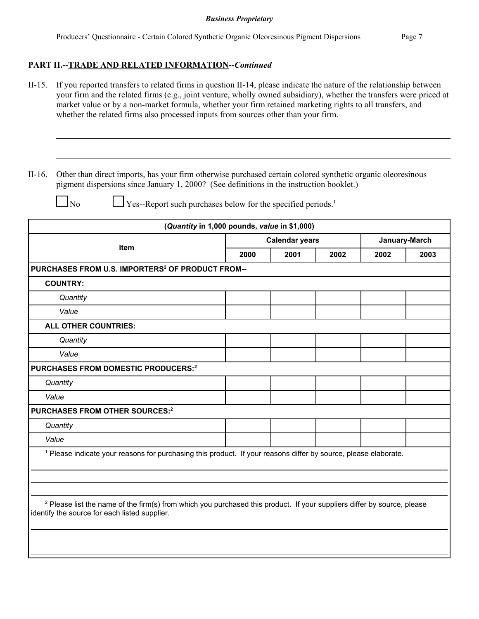## **PART II.--TRADE AND RELATED INFORMATION--***Continued*

- II-15. If you reported transfers to related firms in question II-14, please indicate the nature of the relationship between your firm and the related firms (e.g., joint venture, wholly owned subsidiary), whether the transfers were priced at market value or by a non-market formula, whether your firm retained marketing rights to all transfers, and whether the related firms also processed inputs from sources other than your firm.
- II-16. Other than direct imports, has your firm otherwise purchased certain colored synthetic organic oleoresinous pigment dispersions since January 1, 2000? (See definitions in the instruction booklet.)

 $\Box$  No  $\Box$  Yes--Report such purchases below for the specified periods.<sup>1</sup>

|                                                                                                                                                                                     | (Quantity in 1,000 pounds, value in \$1,000) |                       |      |               |      |
|-------------------------------------------------------------------------------------------------------------------------------------------------------------------------------------|----------------------------------------------|-----------------------|------|---------------|------|
| <b>Item</b>                                                                                                                                                                         |                                              | <b>Calendar years</b> |      | January-March |      |
|                                                                                                                                                                                     | 2000                                         | 2001                  | 2002 | 2002          | 2003 |
| PURCHASES FROM U.S. IMPORTERS <sup>2</sup> OF PRODUCT FROM--                                                                                                                        |                                              |                       |      |               |      |
| <b>COUNTRY:</b>                                                                                                                                                                     |                                              |                       |      |               |      |
| Quantity                                                                                                                                                                            |                                              |                       |      |               |      |
| Value                                                                                                                                                                               |                                              |                       |      |               |      |
| ALL OTHER COUNTRIES:                                                                                                                                                                |                                              |                       |      |               |      |
| Quantity                                                                                                                                                                            |                                              |                       |      |               |      |
| Value                                                                                                                                                                               |                                              |                       |      |               |      |
| PURCHASES FROM DOMESTIC PRODUCERS: <sup>2</sup>                                                                                                                                     |                                              |                       |      |               |      |
| Quantity                                                                                                                                                                            |                                              |                       |      |               |      |
| Value                                                                                                                                                                               |                                              |                       |      |               |      |
| PURCHASES FROM OTHER SOURCES: <sup>2</sup>                                                                                                                                          |                                              |                       |      |               |      |
| Quantity                                                                                                                                                                            |                                              |                       |      |               |      |
| Value                                                                                                                                                                               |                                              |                       |      |               |      |
| <sup>1</sup> Please indicate your reasons for purchasing this product. If your reasons differ by source, please elaborate.                                                          |                                              |                       |      |               |      |
|                                                                                                                                                                                     |                                              |                       |      |               |      |
|                                                                                                                                                                                     |                                              |                       |      |               |      |
|                                                                                                                                                                                     |                                              |                       |      |               |      |
| <sup>2</sup> Please list the name of the firm(s) from which you purchased this product. If your suppliers differ by source, please<br>identify the source for each listed supplier. |                                              |                       |      |               |      |
|                                                                                                                                                                                     |                                              |                       |      |               |      |
|                                                                                                                                                                                     |                                              |                       |      |               |      |
|                                                                                                                                                                                     |                                              |                       |      |               |      |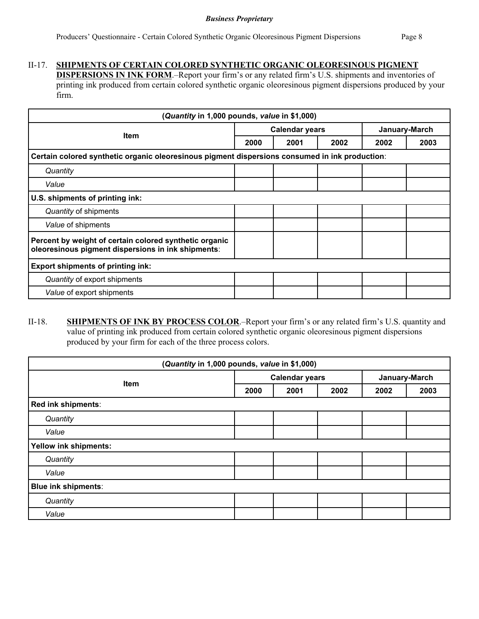# II-17. **SHIPMENTS OF CERTAIN COLORED SYNTHETIC ORGANIC OLEORESINOUS PIGMENT**

**DISPERSIONS IN INK FORM**.–Report your firm's or any related firm's U.S. shipments and inventories of printing ink produced from certain colored synthetic organic oleoresinous pigment dispersions produced by your firm.

| (Quantity in 1,000 pounds, value in \$1,000)                                                                 |      |                       |               |      |      |  |  |
|--------------------------------------------------------------------------------------------------------------|------|-----------------------|---------------|------|------|--|--|
| <b>Item</b>                                                                                                  |      | <b>Calendar years</b> | January-March |      |      |  |  |
|                                                                                                              | 2000 | 2001                  | 2002          | 2002 | 2003 |  |  |
| Certain colored synthetic organic oleoresinous pigment dispersions consumed in ink production:               |      |                       |               |      |      |  |  |
| Quantity                                                                                                     |      |                       |               |      |      |  |  |
| Value                                                                                                        |      |                       |               |      |      |  |  |
| U.S. shipments of printing ink:                                                                              |      |                       |               |      |      |  |  |
| Quantity of shipments                                                                                        |      |                       |               |      |      |  |  |
| Value of shipments                                                                                           |      |                       |               |      |      |  |  |
| Percent by weight of certain colored synthetic organic<br>oleoresinous pigment dispersions in ink shipments: |      |                       |               |      |      |  |  |
| <b>Export shipments of printing ink:</b>                                                                     |      |                       |               |      |      |  |  |
| Quantity of export shipments                                                                                 |      |                       |               |      |      |  |  |
| Value of export shipments                                                                                    |      |                       |               |      |      |  |  |

# II-18. **SHIPMENTS OF INK BY PROCESS COLOR**.–Report your firm's or any related firm's U.S. quantity and value of printing ink produced from certain colored synthetic organic oleoresinous pigment dispersions produced by your firm for each of the three process colors.

| (Quantity in 1,000 pounds, value in \$1,000) |                       |      |      |               |      |  |  |
|----------------------------------------------|-----------------------|------|------|---------------|------|--|--|
| <b>Item</b>                                  | <b>Calendar years</b> |      |      | January-March |      |  |  |
|                                              | 2000                  | 2001 | 2002 | 2002          | 2003 |  |  |
| Red ink shipments:                           |                       |      |      |               |      |  |  |
| Quantity                                     |                       |      |      |               |      |  |  |
| Value                                        |                       |      |      |               |      |  |  |
| <b>Yellow ink shipments:</b>                 |                       |      |      |               |      |  |  |
| Quantity                                     |                       |      |      |               |      |  |  |
| Value                                        |                       |      |      |               |      |  |  |
| <b>Blue ink shipments:</b>                   |                       |      |      |               |      |  |  |
| Quantity                                     |                       |      |      |               |      |  |  |
| Value                                        |                       |      |      |               |      |  |  |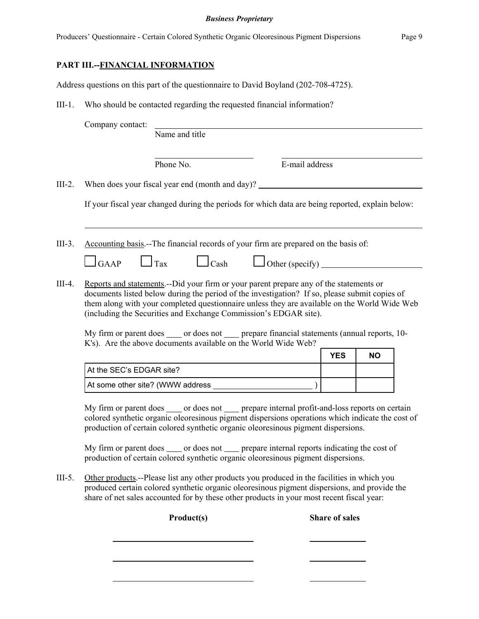Producers' Questionnaire - Certain Colored Synthetic Organic Oleoresinous Pigment Dispersions Page 9

**PART III.--FINANCIAL INFORMATION**

Address questions on this part of the questionnaire to David Boyland (202-708-4725).

III-1. Who should be contacted regarding the requested financial information?

|          | Company contact:                                                                                                                                                                                                                                                                                                                                                                                                                                                                   |                          |  |                                 |                       |           |  |
|----------|------------------------------------------------------------------------------------------------------------------------------------------------------------------------------------------------------------------------------------------------------------------------------------------------------------------------------------------------------------------------------------------------------------------------------------------------------------------------------------|--------------------------|--|---------------------------------|-----------------------|-----------|--|
|          |                                                                                                                                                                                                                                                                                                                                                                                                                                                                                    | Name and title           |  |                                 |                       |           |  |
|          |                                                                                                                                                                                                                                                                                                                                                                                                                                                                                    | Phone No.                |  | E-mail address                  |                       |           |  |
| $III-2.$ | When does your fiscal year end (month and day)?                                                                                                                                                                                                                                                                                                                                                                                                                                    |                          |  |                                 |                       |           |  |
|          | If your fiscal year changed during the periods for which data are being reported, explain below:                                                                                                                                                                                                                                                                                                                                                                                   |                          |  |                                 |                       |           |  |
| $III-3.$ | Accounting basis.--The financial records of your firm are prepared on the basis of:<br><b>GAAP</b>                                                                                                                                                                                                                                                                                                                                                                                 | Tax<br>$\mathsf{L}$ Cash |  | Other (specify) $\qquad \qquad$ |                       |           |  |
| $III-4.$ | Reports and statements.--Did your firm or your parent prepare any of the statements or<br>documents listed below during the period of the investigation? If so, please submit copies of<br>them along with your completed questionnaire unless they are available on the World Wide Web<br>(including the Securities and Exchange Commission's EDGAR site).<br>My firm or parent does _____ or does not _____ prepare financial statements (annual reports, 10-                    |                          |  |                                 |                       |           |  |
|          | K's). Are the above documents available on the World Wide Web?                                                                                                                                                                                                                                                                                                                                                                                                                     |                          |  |                                 | <b>YES</b>            | <b>NO</b> |  |
|          | At the SEC's EDGAR site?                                                                                                                                                                                                                                                                                                                                                                                                                                                           |                          |  |                                 |                       |           |  |
|          |                                                                                                                                                                                                                                                                                                                                                                                                                                                                                    |                          |  |                                 |                       |           |  |
|          | My firm or parent does _____ or does not _____ prepare internal profit-and-loss reports on certain<br>colored synthetic organic oleoresinous pigment dispersions operations which indicate the cost of<br>production of certain colored synthetic organic oleoresinous pigment dispersions.<br>My firm or parent does _____ or does not _____ prepare internal reports indicating the cost of<br>production of certain colored synthetic organic oleoresinous pigment dispersions. |                          |  |                                 |                       |           |  |
| $III-5.$ | Other products.--Please list any other products you produced in the facilities in which you<br>produced certain colored synthetic organic oleoresinous pigment dispersions, and provide the<br>share of net sales accounted for by these other products in your most recent fiscal year:                                                                                                                                                                                           |                          |  |                                 |                       |           |  |
|          |                                                                                                                                                                                                                                                                                                                                                                                                                                                                                    | Product(s)               |  |                                 | <b>Share of sales</b> |           |  |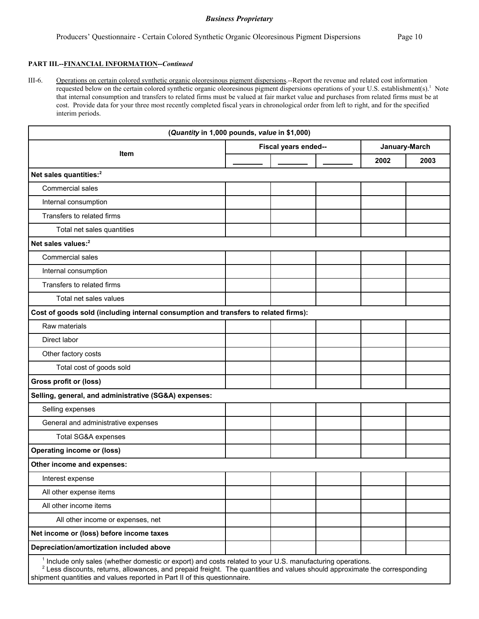#### **PART III.--FINANCIAL INFORMATION--***Continued*

III-6. Operations on certain colored synthetic organic oleoresinous pigment dispersions.--Report the revenue and related cost information requested below on the certain colored synthetic organic oleoresinous pigment dispersions operations of your U.S. establishment(s).<sup>1</sup> Note that internal consumption and transfers to related firms must be valued at fair market value and purchases from related firms must be at cost. Provide data for your three most recently completed fiscal years in chronological order from left to right, and for the specified interim periods.

|                                                                                                                       | (Quantity in 1,000 pounds, value in \$1,000) |                      |      |               |
|-----------------------------------------------------------------------------------------------------------------------|----------------------------------------------|----------------------|------|---------------|
|                                                                                                                       |                                              | Fiscal years ended-- |      | January-March |
| <b>Item</b>                                                                                                           |                                              |                      | 2002 | 2003          |
| Net sales quantities: <sup>2</sup>                                                                                    |                                              |                      |      |               |
| Commercial sales                                                                                                      |                                              |                      |      |               |
| Internal consumption                                                                                                  |                                              |                      |      |               |
| Transfers to related firms                                                                                            |                                              |                      |      |               |
| Total net sales quantities                                                                                            |                                              |                      |      |               |
| Net sales values: <sup>2</sup>                                                                                        |                                              |                      |      |               |
| Commercial sales                                                                                                      |                                              |                      |      |               |
| Internal consumption                                                                                                  |                                              |                      |      |               |
| Transfers to related firms                                                                                            |                                              |                      |      |               |
| Total net sales values                                                                                                |                                              |                      |      |               |
| Cost of goods sold (including internal consumption and transfers to related firms):                                   |                                              |                      |      |               |
| Raw materials                                                                                                         |                                              |                      |      |               |
| Direct labor                                                                                                          |                                              |                      |      |               |
| Other factory costs                                                                                                   |                                              |                      |      |               |
| Total cost of goods sold                                                                                              |                                              |                      |      |               |
| Gross profit or (loss)                                                                                                |                                              |                      |      |               |
| Selling, general, and administrative (SG&A) expenses:                                                                 |                                              |                      |      |               |
| Selling expenses                                                                                                      |                                              |                      |      |               |
| General and administrative expenses                                                                                   |                                              |                      |      |               |
| Total SG&A expenses                                                                                                   |                                              |                      |      |               |
| <b>Operating income or (loss)</b>                                                                                     |                                              |                      |      |               |
| Other income and expenses:                                                                                            |                                              |                      |      |               |
| Interest expense                                                                                                      |                                              |                      |      |               |
| All other expense items                                                                                               |                                              |                      |      |               |
| All other income items                                                                                                |                                              |                      |      |               |
| All other income or expenses, net                                                                                     |                                              |                      |      |               |
| Net income or (loss) before income taxes                                                                              |                                              |                      |      |               |
| Depreciation/amortization included above                                                                              |                                              |                      |      |               |
| <sup>1</sup> Include only sales (whether domestic or export) and costs related to your U.S. manufacturing operations. |                                              |                      |      |               |

 $2$  Less discounts, returns, allowances, and prepaid freight. The quantities and values should approximate the corresponding shipment quantities and values reported in Part II of this questionnaire.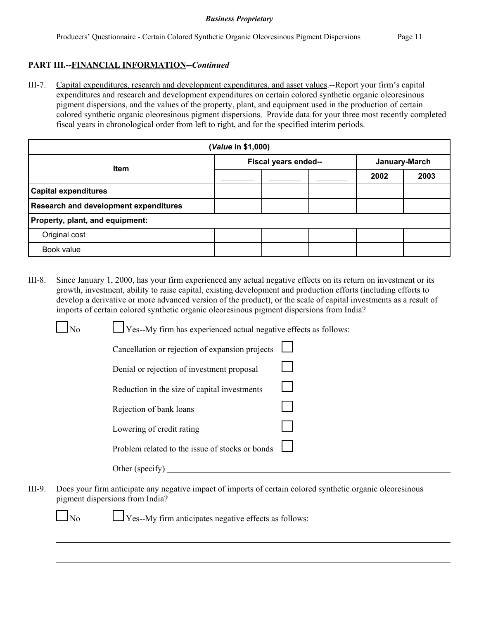# **PART III.--FINANCIAL INFORMATION--***Continued*

III-7. Capital expenditures, research and development expenditures, and asset values.--Report your firm's capital expenditures and research and development expenditures on certain colored synthetic organic oleoresinous pigment dispersions, and the values of the property, plant, and equipment used in the production of certain colored synthetic organic oleoresinous pigment dispersions. Provide data for your three most recently completed fiscal years in chronological order from left to right, and for the specified interim periods.

| (Value in \$1,000)                           |                      |  |  |               |      |  |  |
|----------------------------------------------|----------------------|--|--|---------------|------|--|--|
|                                              | Fiscal years ended-- |  |  | January-March |      |  |  |
| <b>Item</b>                                  |                      |  |  | 2002          | 2003 |  |  |
| <b>Capital expenditures</b>                  |                      |  |  |               |      |  |  |
| <b>Research and development expenditures</b> |                      |  |  |               |      |  |  |
| Property, plant, and equipment:              |                      |  |  |               |      |  |  |
| Original cost                                |                      |  |  |               |      |  |  |
| Book value                                   |                      |  |  |               |      |  |  |

III-8. Since January 1, 2000, has your firm experienced any actual negative effects on its return on investment or its growth, investment, ability to raise capital, existing development and production efforts (including efforts to develop a derivative or more advanced version of the product), or the scale of capital investments as a result of imports of certain colored synthetic organic oleoresinous pigment dispersions from India?

| No | Yes--My firm has experienced actual negative effects as follows: |  |
|----|------------------------------------------------------------------|--|
|    | Cancellation or rejection of expansion projects                  |  |
|    | Denial or rejection of investment proposal                       |  |
|    | Reduction in the size of capital investments                     |  |
|    | Rejection of bank loans                                          |  |
|    | Lowering of credit rating                                        |  |
|    | Problem related to the issue of stocks or bonds                  |  |
|    | Other (specify)                                                  |  |

III-9. Does your firm anticipate any negative impact of imports of certain colored synthetic organic oleoresinous pigment dispersions from India?

 $\Box$ No  $\Box$  Yes--My firm anticipates negative effects as follows: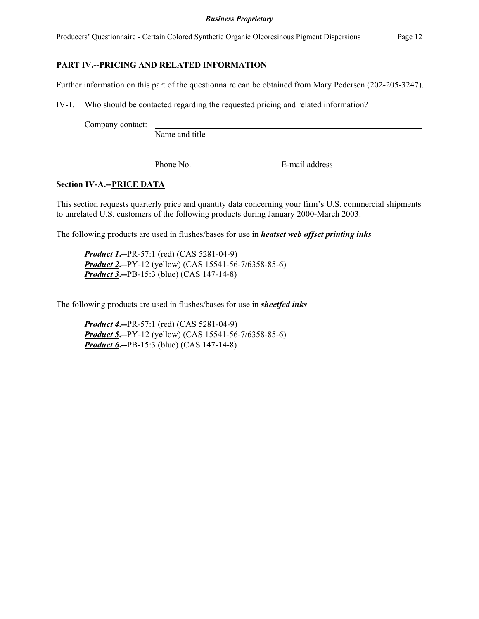Producers' Questionnaire - Certain Colored Synthetic Organic Oleoresinous Pigment Dispersions Page 12

# **PART IV.--PRICING AND RELATED INFORMATION**

Further information on this part of the questionnaire can be obtained from Mary Pedersen (202-205-3247).

IV-1. Who should be contacted regarding the requested pricing and related information?

Company contact:

Name and title

Phone No. **E-mail address** 

## **Section IV-A.--PRICE DATA**

This section requests quarterly price and quantity data concerning your firm's U.S. commercial shipments to unrelated U.S. customers of the following products during January 2000-March 2003:

The following products are used in flushes/bases for use in *heatset web offset printing inks*

*Product 1***.--**PR-57:1 (red) (CAS 5281-04-9) *Product 2***.--**PY-12 (yellow) (CAS 15541-56-7/6358-85-6) *Product 3***.--**PB-15:3 (blue) (CAS 147-14-8)

The following products are used in flushes/bases for use in *sheetfed inks*

*Product 4***.--**PR-57:1 (red) (CAS 5281-04-9) *Product 5***.--**PY-12 (yellow) (CAS 15541-56-7/6358-85-6) *Product 6***.--**PB-15:3 (blue) (CAS 147-14-8)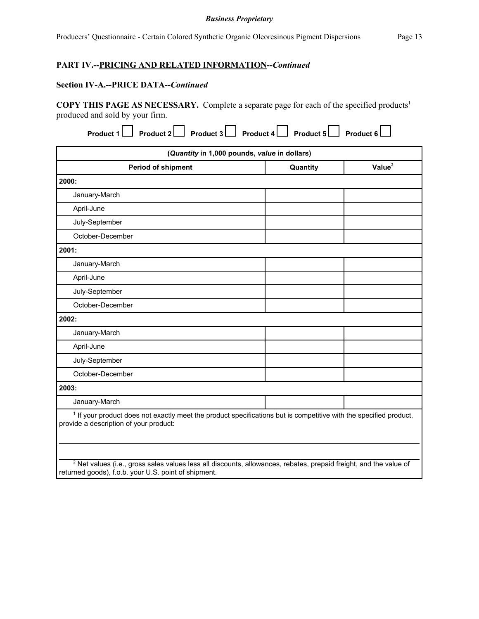# **PART IV.--PRICING AND RELATED INFORMATION--***Continued*

### **Section IV-A.--PRICE DATA--***Continued*

**COPY THIS PAGE AS NECESSARY.** Complete a separate page for each of the specified products<sup>1</sup> produced and sold by your firm.

| (Quantity in 1,000 pounds, value in dollars)                                                                                                                           |          |                    |  |  |  |  |  |
|------------------------------------------------------------------------------------------------------------------------------------------------------------------------|----------|--------------------|--|--|--|--|--|
| <b>Period of shipment</b>                                                                                                                                              | Quantity | Value <sup>2</sup> |  |  |  |  |  |
| 2000:                                                                                                                                                                  |          |                    |  |  |  |  |  |
| January-March                                                                                                                                                          |          |                    |  |  |  |  |  |
| April-June                                                                                                                                                             |          |                    |  |  |  |  |  |
| July-September                                                                                                                                                         |          |                    |  |  |  |  |  |
| October-December                                                                                                                                                       |          |                    |  |  |  |  |  |
| 2001:                                                                                                                                                                  |          |                    |  |  |  |  |  |
| January-March                                                                                                                                                          |          |                    |  |  |  |  |  |
| April-June                                                                                                                                                             |          |                    |  |  |  |  |  |
| July-September                                                                                                                                                         |          |                    |  |  |  |  |  |
| October-December                                                                                                                                                       |          |                    |  |  |  |  |  |
| 2002:                                                                                                                                                                  |          |                    |  |  |  |  |  |
| January-March                                                                                                                                                          |          |                    |  |  |  |  |  |
| April-June                                                                                                                                                             |          |                    |  |  |  |  |  |
| July-September                                                                                                                                                         |          |                    |  |  |  |  |  |
| October-December                                                                                                                                                       |          |                    |  |  |  |  |  |
| 2003:                                                                                                                                                                  |          |                    |  |  |  |  |  |
| January-March                                                                                                                                                          |          |                    |  |  |  |  |  |
| <sup>1</sup> If your product does not exactly meet the product specifications but is competitive with the specified product,<br>provide a description of your product: |          |                    |  |  |  |  |  |
|                                                                                                                                                                        |          |                    |  |  |  |  |  |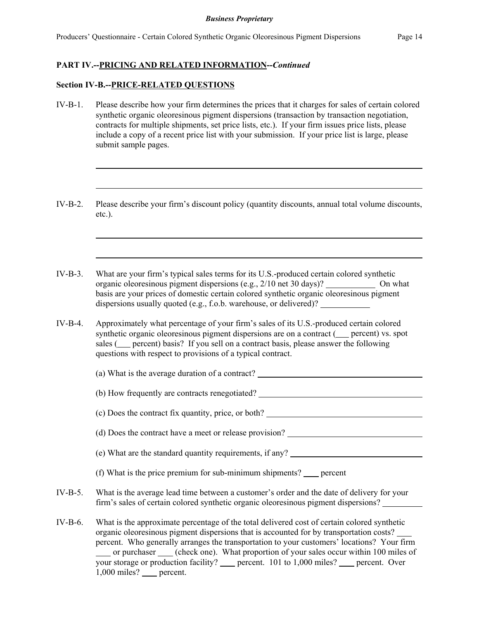## **PART IV.--PRICING AND RELATED INFORMATION--***Continued*

### **Section IV-B.--PRICE-RELATED QUESTIONS**

- IV-B-1. Please describe how your firm determines the prices that it charges for sales of certain colored synthetic organic oleoresinous pigment dispersions (transaction by transaction negotiation, contracts for multiple shipments, set price lists, etc.). If your firm issues price lists, please include a copy of a recent price list with your submission. If your price list is large, please submit sample pages.
- IV-B-2. Please describe your firm's discount policy (quantity discounts, annual total volume discounts, etc.).
- IV-B-3. What are your firm's typical sales terms for its U.S.-produced certain colored synthetic organic oleoresinous pigment dispersions (e.g., 2/10 net 30 days)? \_\_\_\_\_\_\_\_\_\_\_\_ On what basis are your prices of domestic certain colored synthetic organic oleoresinous pigment dispersions usually quoted (e.g., f.o.b. warehouse, or delivered)?
- IV-B-4. Approximately what percentage of your firm's sales of its U.S.-produced certain colored synthetic organic oleoresinous pigment dispersions are on a contract ( percent) vs. spot sales (
percent) basis? If you sell on a contract basis, please answer the following questions with respect to provisions of a typical contract.

(a) What is the average duration of a contract?

(b) How frequently are contracts renegotiated?

(c) Does the contract fix quantity, price, or both?

(d) Does the contract have a meet or release provision?

- (e) What are the standard quantity requirements, if any?
- (f) What is the price premium for sub-minimum shipments?  $\qquad$  percent
- IV-B-5. What is the average lead time between a customer's order and the date of delivery for your firm's sales of certain colored synthetic organic oleoresinous pigment dispersions?
- IV-B-6. What is the approximate percentage of the total delivered cost of certain colored synthetic organic oleoresinous pigment dispersions that is accounted for by transportation costs? percent. Who generally arranges the transportation to your customers' locations? Your firm or purchaser (check one). What proportion of your sales occur within 100 miles of your storage or production facility? percent. 101 to 1,000 miles? percent. Over 1,000 miles? percent.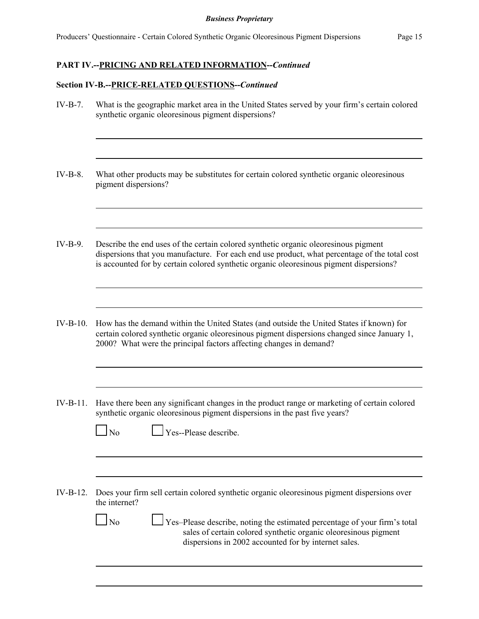## **PART IV.--PRICING AND RELATED INFORMATION--***Continued*

### **Section IV-B.--PRICE-RELATED QUESTIONS--***Continued*

- IV-B-7. What is the geographic market area in the United States served by your firm's certain colored synthetic organic oleoresinous pigment dispersions?
- IV-B-8. What other products may be substitutes for certain colored synthetic organic oleoresinous pigment dispersions?
- IV-B-9. Describe the end uses of the certain colored synthetic organic oleoresinous pigment dispersions that you manufacture. For each end use product, what percentage of the total cost is accounted for by certain colored synthetic organic oleoresinous pigment dispersions?
- IV-B-10. How has the demand within the United States (and outside the United States if known) for certain colored synthetic organic oleoresinous pigment dispersions changed since January 1, 2000? What were the principal factors affecting changes in demand?
- IV-B-11. Have there been any significant changes in the product range or marketing of certain colored synthetic organic oleoresinous pigment dispersions in the past five years?

|--|

Nes--Please describe.

IV-B-12. Does your firm sell certain colored synthetic organic oleoresinous pigment dispersions over the internet?

> $\Box$  No  $\Box$  Yes–Please describe, noting the estimated percentage of your firm's total sales of certain colored synthetic organic oleoresinous pigment dispersions in 2002 accounted for by internet sales.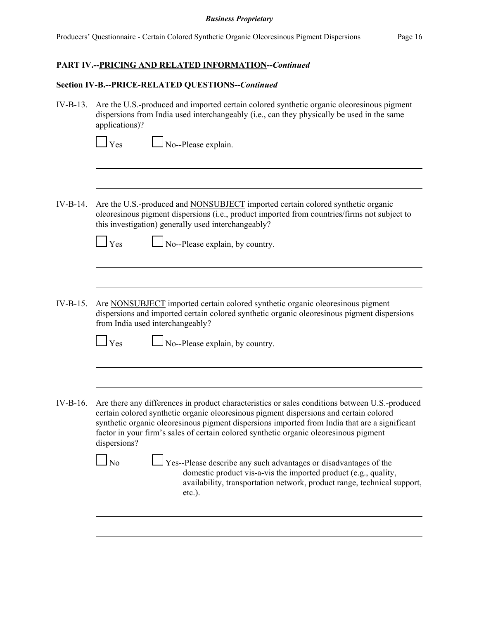# **PART IV.--PRICING AND RELATED INFORMATION--***Continued*

# **Section IV-B.--PRICE-RELATED QUESTIONS--***Continued*

| $IV-B-13.$  | Are the U.S.-produced and imported certain colored synthetic organic oleoresinous pigment<br>dispersions from India used interchangeably (i.e., can they physically be used in the same<br>applications)?                                                                                        |  |  |  |  |  |
|-------------|--------------------------------------------------------------------------------------------------------------------------------------------------------------------------------------------------------------------------------------------------------------------------------------------------|--|--|--|--|--|
|             | No--Please explain.<br>Yes                                                                                                                                                                                                                                                                       |  |  |  |  |  |
| IV-B-14.    | Are the U.S.-produced and NONSUBJECT imported certain colored synthetic organic<br>oleoresinous pigment dispersions (i.e., product imported from countries/firms not subject to<br>this investigation) generally used interchangeably?<br>No--Please explain, by country.<br>$\Box$ Yes          |  |  |  |  |  |
|             |                                                                                                                                                                                                                                                                                                  |  |  |  |  |  |
| $IV-B-15$ . | Are NONSUBJECT imported certain colored synthetic organic oleoresinous pigment<br>dispersions and imported certain colored synthetic organic oleoresinous pigment dispersions<br>from India used interchangeably?                                                                                |  |  |  |  |  |
|             | $\Box$ Yes<br>No--Please explain, by country.                                                                                                                                                                                                                                                    |  |  |  |  |  |
| $IV-B-16.$  | Are there any differences in product characteristics or sales conditions between U.S.-produced                                                                                                                                                                                                   |  |  |  |  |  |
|             | certain colored synthetic organic oleoresinous pigment dispersions and certain colored<br>synthetic organic oleoresinous pigment dispersions imported from India that are a significant<br>factor in your firm's sales of certain colored synthetic organic oleoresinous pigment<br>dispersions? |  |  |  |  |  |
|             | No<br>Yes--Please describe any such advantages or disadvantages of the<br>domestic product vis-a-vis the imported product (e.g., quality,<br>availability, transportation network, product range, technical support,<br>$etc.$ ).                                                                |  |  |  |  |  |
|             |                                                                                                                                                                                                                                                                                                  |  |  |  |  |  |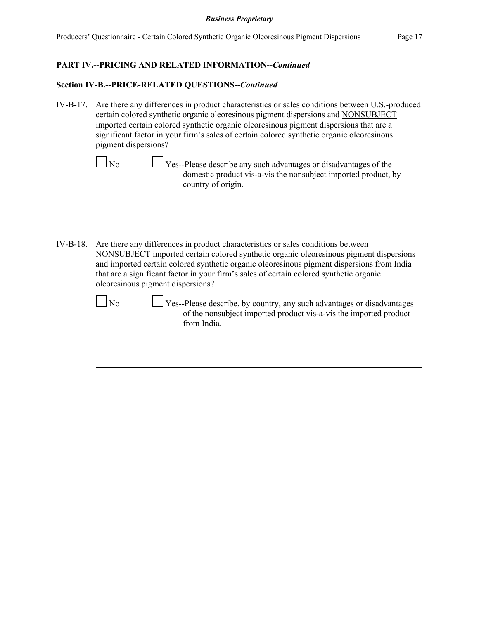# **PART IV.--PRICING AND RELATED INFORMATION--***Continued*

## **Section IV-B.--PRICE-RELATED QUESTIONS--***Continued*

IV-B-17. Are there any differences in product characteristics or sales conditions between U.S.-produced certain colored synthetic organic oleoresinous pigment dispersions and NONSUBJECT imported certain colored synthetic organic oleoresinous pigment dispersions that are a significant factor in your firm's sales of certain colored synthetic organic oleoresinous pigment dispersions?

| $\Box$ No | $\Box$ Yes--Please describe any such advantages or disadvantages of the |
|-----------|-------------------------------------------------------------------------|
|           | domestic product vis-a-vis the nonsubject imported product, by          |
|           | country of origin.                                                      |

IV-B-18. Are there any differences in product characteristics or sales conditions between NONSUBJECT imported certain colored synthetic organic oleoresinous pigment dispersions and imported certain colored synthetic organic oleoresinous pigment dispersions from India that are a significant factor in your firm's sales of certain colored synthetic organic oleoresinous pigment dispersions?

 $\Box$  Yes--Please describe, by country, any such advantages or disadvantages of the nonsubject imported product vis-a-vis the imported product from India.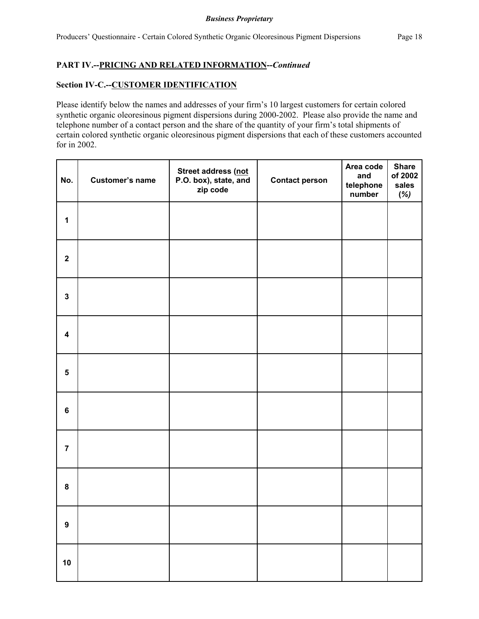# **PART IV.--PRICING AND RELATED INFORMATION--***Continued*

## **Section IV-C.--CUSTOMER IDENTIFICATION**

Please identify below the names and addresses of your firm's 10 largest customers for certain colored synthetic organic oleoresinous pigment dispersions during 2000-2002. Please also provide the name and telephone number of a contact person and the share of the quantity of your firm's total shipments of certain colored synthetic organic oleoresinous pigment dispersions that each of these customers accounted for in 2002.

| No.                     | <b>Customer's name</b> | Street address (not<br>P.O. box), state, and<br>zip code | <b>Contact person</b> | Area code<br>and<br>telephone<br>number | <b>Share</b><br>of 2002<br>sales<br>$(\%)$ |
|-------------------------|------------------------|----------------------------------------------------------|-----------------------|-----------------------------------------|--------------------------------------------|
| $\mathbf{1}$            |                        |                                                          |                       |                                         |                                            |
| $\mathbf 2$             |                        |                                                          |                       |                                         |                                            |
| $\mathbf 3$             |                        |                                                          |                       |                                         |                                            |
| $\overline{\mathbf{4}}$ |                        |                                                          |                       |                                         |                                            |
| $\overline{\mathbf{5}}$ |                        |                                                          |                       |                                         |                                            |
| $\bf 6$                 |                        |                                                          |                       |                                         |                                            |
| $\overline{7}$          |                        |                                                          |                       |                                         |                                            |
| ${\bf 8}$               |                        |                                                          |                       |                                         |                                            |
| $\boldsymbol{9}$        |                        |                                                          |                       |                                         |                                            |
| 10                      |                        |                                                          |                       |                                         |                                            |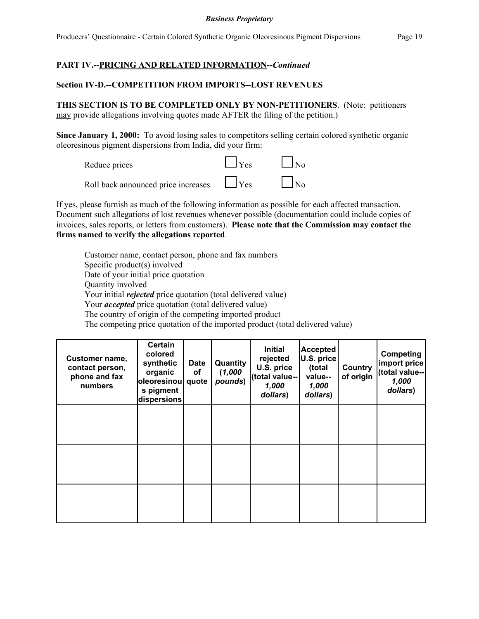# **PART IV.--PRICING AND RELATED INFORMATION--***Continued*

## **Section IV-D.--COMPETITION FROM IMPORTS--LOST REVENUES**

**THIS SECTION IS TO BE COMPLETED ONLY BY NON-PETITIONERS**. (Note: petitioners may provide allegations involving quotes made AFTER the filing of the petition.)

**Since January 1, 2000:** To avoid losing sales to competitors selling certain colored synthetic organic oleoresinous pigment dispersions from India, did your firm:



If yes, please furnish as much of the following information as possible for each affected transaction. Document such allegations of lost revenues whenever possible (documentation could include copies of invoices, sales reports, or letters from customers). **Please note that the Commission may contact the firms named to verify the allegations reported**.

Customer name, contact person, phone and fax numbers Specific product(s) involved Date of your initial price quotation Quantity involved Your initial *rejected* price quotation (total delivered value) Your *accepted* price quotation (total delivered value) The country of origin of the competing imported product The competing price quotation of the imported product (total delivered value)

| Customer name,<br>contact person,<br>phone and fax<br>numbers | <b>Certain</b><br>colored<br>synthetic<br>organic<br>oleoresinou<br>s pigment<br>dispersions | <b>Date</b><br>οf<br>quote | Quantity<br>(1,000)<br>pounds) | <b>Initial</b><br>rejected<br>U.S. price<br>(total value--<br>1,000<br>dollars) | <b>Accepted</b><br>U.S. price<br>(total<br>value--<br>1,000<br>dollars) | Country<br>of origin | Competing<br>import price<br>(total value--<br>1,000<br>dollars) |
|---------------------------------------------------------------|----------------------------------------------------------------------------------------------|----------------------------|--------------------------------|---------------------------------------------------------------------------------|-------------------------------------------------------------------------|----------------------|------------------------------------------------------------------|
|                                                               |                                                                                              |                            |                                |                                                                                 |                                                                         |                      |                                                                  |
|                                                               |                                                                                              |                            |                                |                                                                                 |                                                                         |                      |                                                                  |
|                                                               |                                                                                              |                            |                                |                                                                                 |                                                                         |                      |                                                                  |